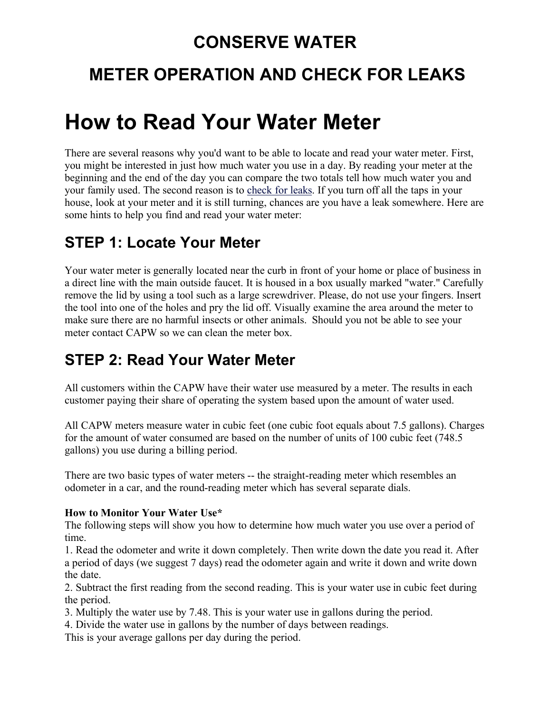### **CONSERVE WATER**

# **METER OPERATION AND CHECK FOR LEAKS**

# **How to Read Your Water Meter**

There are several reasons why you'd want to be able to locate and read your water meter. First, you might be interested in just how much water you use in a day. By reading your meter at the beginning and the end of the day you can compare the two totals tell how much water you and your family used. The second reason is to check for leaks. If you turn off all the taps in your house, look at your meter and it is still turning, chances are you have a leak somewhere. Here are some hints to help you find and read your water meter:

#### **STEP 1: Locate Your Meter**

Your water meter is generally located near the curb in front of your home or place of business in a direct line with the main outside faucet. It is housed in a box usually marked "water." Carefully remove the lid by using a tool such as a large screwdriver. Please, do not use your fingers. Insert the tool into one of the holes and pry the lid off. Visually examine the area around the meter to make sure there are no harmful insects or other animals. Should you not be able to see your meter contact CAPW so we can clean the meter box.

#### **STEP 2: Read Your Water Meter**

All customers within the CAPW have their water use measured by a meter. The results in each customer paying their share of operating the system based upon the amount of water used.

All CAPW meters measure water in cubic feet (one cubic foot equals about 7.5 gallons). Charges for the amount of water consumed are based on the number of units of 100 cubic feet (748.5 gallons) you use during a billing period.

There are two basic types of water meters -- the straight-reading meter which resembles an odometer in a car, and the round-reading meter which has several separate dials.

#### **How to Monitor Your Water Use\***

The following steps will show you how to determine how much water you use over a period of time.

1. Read the odometer and write it down completely. Then write down the date you read it. After a period of days (we suggest 7 days) read the odometer again and write it down and write down the date.

2. Subtract the first reading from the second reading. This is your water use in cubic feet during the period.

3. Multiply the water use by 7.48. This is your water use in gallons during the period.

4. Divide the water use in gallons by the number of days between readings.

This is your average gallons per day during the period.